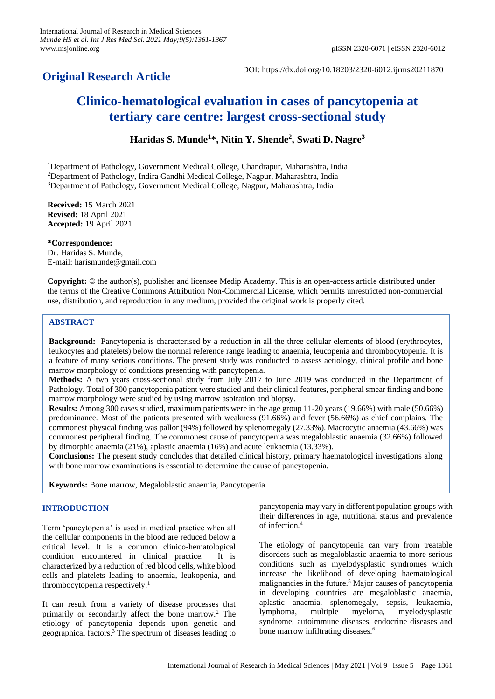# **Original Research Article**

DOI: https://dx.doi.org/10.18203/2320-6012.ijrms20211870

# **Clinico-hematological evaluation in cases of pancytopenia at tertiary care centre: largest cross-sectional study**

**Haridas S. Munde<sup>1</sup> \*, Nitin Y. Shende<sup>2</sup> , Swati D. Nagre<sup>3</sup>**

<sup>1</sup>Department of Pathology, Government Medical College, Chandrapur, Maharashtra, India

<sup>2</sup>Department of Pathology, Indira Gandhi Medical College, Nagpur, Maharashtra, India

<sup>3</sup>Department of Pathology, Government Medical College, Nagpur, Maharashtra, India

**Received:** 15 March 2021 **Revised:** 18 April 2021 **Accepted:** 19 April 2021

**\*Correspondence:** Dr. Haridas S. Munde, E-mail: harismunde@gmail.com

**Copyright:** © the author(s), publisher and licensee Medip Academy. This is an open-access article distributed under the terms of the Creative Commons Attribution Non-Commercial License, which permits unrestricted non-commercial use, distribution, and reproduction in any medium, provided the original work is properly cited.

# **ABSTRACT**

**Background:** Pancytopenia is characterised by a reduction in all the three cellular elements of blood (erythrocytes, leukocytes and platelets) below the normal reference range leading to anaemia, leucopenia and thrombocytopenia. It is a feature of many serious conditions. The present study was conducted to assess aetiology, clinical profile and bone marrow morphology of conditions presenting with pancytopenia.

**Methods:** A two years cross-sectional study from July 2017 to June 2019 was conducted in the Department of Pathology. Total of 300 pancytopenia patient were studied and their clinical features, peripheral smear finding and bone marrow morphology were studied by using marrow aspiration and biopsy.

**Results:** Among 300 cases studied, maximum patients were in the age group 11-20 years (19.66%) with male (50.66%) predominance. Most of the patients presented with weakness (91.66%) and fever (56.66%) as chief complains. The commonest physical finding was pallor (94%) followed by splenomegaly (27.33%). Macrocytic anaemia (43.66%) was commonest peripheral finding. The commonest cause of pancytopenia was megaloblastic anaemia (32.66%) followed by dimorphic anaemia (21%), aplastic anaemia (16%) and acute leukaemia (13.33%).

**Conclusions:** The present study concludes that detailed clinical history, primary haematological investigations along with bone marrow examinations is essential to determine the cause of pancytopenia.

**Keywords:** Bone marrow, Megaloblastic anaemia, Pancytopenia

# **INTRODUCTION**

Term 'pancytopenia' is used in medical practice when all the cellular components in the blood are reduced below a critical level. It is a common clinico-hematological condition encountered in clinical practice. It is characterized by a reduction of red blood cells, white blood cells and platelets leading to anaemia, leukopenia, and thrombocytopenia respectively.<sup>1</sup>

It can result from a variety of disease processes that primarily or secondarily affect the bone marrow.<sup>2</sup> The etiology of pancytopenia depends upon genetic and geographical factors.<sup>3</sup> The spectrum of diseases leading to pancytopenia may vary in different population groups with their differences in age, nutritional status and prevalence of infection.<sup>4</sup>

The etiology of pancytopenia can vary from treatable disorders such as megaloblastic anaemia to more serious conditions such as myelodysplastic syndromes which increase the likelihood of developing haematological malignancies in the future.<sup>5</sup> Major causes of pancytopenia in developing countries are megaloblastic anaemia, aplastic anaemia, splenomegaly, sepsis, leukaemia, lymphoma, multiple myeloma, myelodysplastic syndrome, autoimmune diseases, endocrine diseases and bone marrow infiltrating diseases.<sup>6</sup>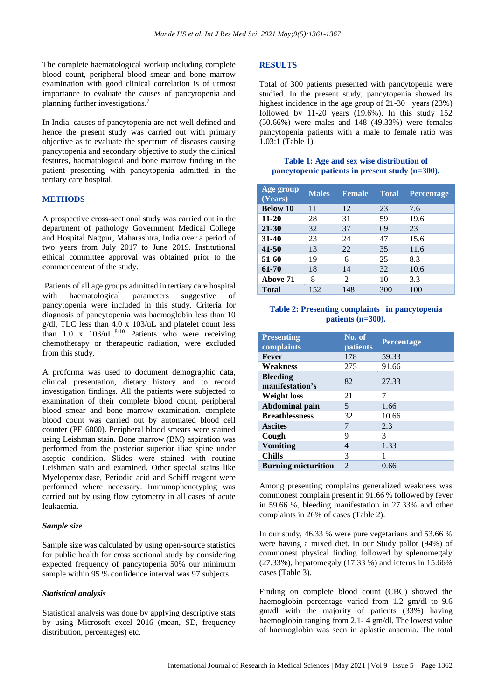The complete haematological workup including complete blood count, peripheral blood smear and bone marrow examination with good clinical correlation is of utmost importance to evaluate the causes of pancytopenia and planning further investigations.<sup>7</sup>

In India, causes of pancytopenia are not well defined and hence the present study was carried out with primary objective as to evaluate the spectrum of diseases causing pancytopenia and secondary objective to study the clinical festures, haematological and bone marrow finding in the patient presenting with pancytopenia admitted in the tertiary care hospital.

#### **METHODS**

A prospective cross-sectional study was carried out in the department of pathology Government Medical College and Hospital Nagpur, Maharashtra, India over a period of two years from July 2017 to June 2019. Institutional ethical committee approval was obtained prior to the commencement of the study.

Patients of all age groups admitted in tertiary care hospital with haematological parameters suggestive of pancytopenia were included in this study. Criteria for diagnosis of pancytopenia was haemoglobin less than 10 g/dl, TLC less than 4.0 x 103/uL and platelet count less than 1.0 x  $103/uL$ .<sup>8-10</sup> Patients who were receiving chemotherapy or therapeutic radiation, were excluded from this study.

A proforma was used to document demographic data, clinical presentation, dietary history and to record investigation findings. All the patients were subjected to examination of their complete blood count, peripheral blood smear and bone marrow examination. complete blood count was carried out by automated blood cell counter (PE 6000). Peripheral blood smears were stained using Leishman stain. Bone marrow (BM) aspiration was performed from the posterior superior iliac spine under aseptic condition. Slides were stained with routine Leishman stain and examined. Other special stains like Myeloperoxidase, Periodic acid and Schiff reagent were performed where necessary. Immunophenotyping was carried out by using flow cytometry in all cases of acute leukaemia.

#### *Sample size*

Sample size was calculated by using open-source statistics for public health for cross sectional study by considering expected frequency of pancytopenia 50% our minimum sample within 95 % confidence interval was 97 subjects.

#### *Statistical analysis*

Statistical analysis was done by applying descriptive stats by using Microsoft excel 2016 (mean, SD, frequency distribution, percentages) etc.

#### **RESULTS**

Total of 300 patients presented with pancytopenia were studied. In the present study, pancytopenia showed its highest incidence in the age group of 21-30 years (23%) followed by 11-20 years (19.6%). In this study 152 (50.66%) were males and 148 (49.33%) were females pancytopenia patients with a male to female ratio was 1.03:1 (Table 1).

#### **Table 1: Age and sex wise distribution of pancytopenic patients in present study (n=300).**

| <b>Age group</b><br>(Years) | <b>Males</b> | <b>Female</b>  | <b>Total</b> | <b>Percentage</b> |
|-----------------------------|--------------|----------------|--------------|-------------------|
| <b>Below 10</b>             | 11           | 12             | 23           | 7.6               |
| $11 - 20$                   | 28           | 31             | 59           | 19.6              |
| $21 - 30$                   | 32           | 37             | 69           | 23                |
| $31 - 40$                   | 23           | 24             | 47           | 15.6              |
| $41 - 50$                   | 13           | 22             | 35           | 11.6              |
| 51-60                       | 19           | 6              | 25           | 8.3               |
| 61-70                       | 18           | 14             | 32           | 10.6              |
| Above 71                    | 8            | $\mathfrak{D}$ | 10           | 3.3               |
| Total                       | 152          | 148            | 300          | 100               |

#### **Table 2: Presenting complaints in pancytopenia patients (n=300).**

| <b>Presenting</b><br>complaints    | No. of<br>patients | <b>Percentage</b> |
|------------------------------------|--------------------|-------------------|
| Fever                              | 178                | 59.33             |
| Weakness                           | 275                | 91.66             |
| <b>Bleeding</b><br>manifestation's | 82                 | 27.33             |
| <b>Weight loss</b>                 | 21                 | 7                 |
| <b>Abdominal pain</b>              | 5                  | 1.66              |
| <b>Breathlessness</b>              | 32                 | 10.66             |
| <b>Ascites</b>                     | 7                  | 2.3               |
| Cough                              | 9                  | 3                 |
| <b>Vomiting</b>                    | 4                  | 1.33              |
| <b>Chills</b>                      | 3                  | 1                 |
| <b>Burning micturition</b>         | $\mathfrak{D}$     | 0.66              |

Among presenting complains generalized weakness was commonest complain present in 91.66 % followed by fever in 59.66 %, bleeding manifestation in 27.33% and other complaints in 26% of cases (Table 2).

In our study, 46.33 % were pure vegetarians and 53.66 % were having a mixed diet. In our Study pallor (94%) of commonest physical finding followed by splenomegaly (27.33%), hepatomegaly (17.33 %) and icterus in 15.66% cases (Table 3).

Finding on complete blood count (CBC) showed the haemoglobin percentage varied from 1.2 gm/dl to 9.6 gm/dl with the majority of patients (33%) having haemoglobin ranging from 2.1- 4 gm/dl. The lowest value of haemoglobin was seen in aplastic anaemia. The total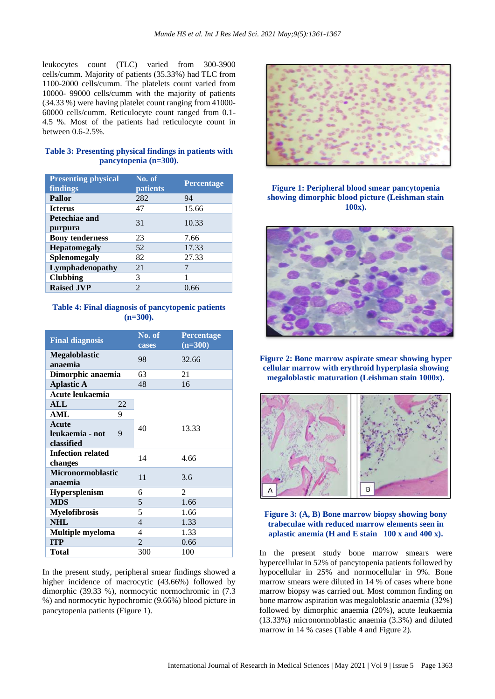leukocytes count (TLC) varied from 300-3900 cells/cumm. Majority of patients (35.33%) had TLC from 1100-2000 cells/cumm. The platelets count varied from 10000- 99000 cells/cumm with the majority of patients (34.33 %) were having platelet count ranging from 41000- 60000 cells/cumm. Reticulocyte count ranged from 0.1- 4.5 %. Most of the patients had reticulocyte count in between 0.6-2.5%.

#### **Table 3: Presenting physical findings in patients with pancytopenia (n=300).**

| <b>Presenting physical</b><br>findings | No. of<br>patients | <b>Percentage</b> |
|----------------------------------------|--------------------|-------------------|
| Pallor                                 | 282                | 94                |
| <b>Icterus</b>                         | 47                 | 15.66             |
| Petechiae and<br>purpura               | 31                 | 10.33             |
| <b>Bony tenderness</b>                 | 23                 | 7.66              |
| <b>Hepatomegaly</b>                    | 52                 | 17.33             |
| <b>Splenomegaly</b>                    | 82                 | 27.33             |
| Lymphadenopathy                        | 21                 |                   |
| <b>Clubbing</b>                        | 3                  |                   |
| <b>Raised JVP</b>                      | $\mathfrak{D}$     | 0.66              |

# **Table 4: Final diagnosis of pancytopenic patients (n=300).**

| <b>Final diagnosis</b>                      | No. of<br>cases | <b>Percentage</b><br>$\overline{$ (n=300) |  |
|---------------------------------------------|-----------------|-------------------------------------------|--|
| <b>Megaloblastic</b><br>anaemia             | 98              | 32.66                                     |  |
| Dimorphic anaemia                           | 63              | 21                                        |  |
| <b>Aplastic A</b>                           | 48              | 16                                        |  |
| Acute leukaemia                             |                 |                                           |  |
| ALL<br>22                                   |                 |                                           |  |
| <b>AML</b><br>9                             |                 |                                           |  |
| Acute<br>leukaemia - not<br>9<br>classified | 40              | 13.33                                     |  |
| <b>Infection related</b><br>changes         | 14              | 4.66                                      |  |
| <b>Micronormoblastic</b><br>anaemia         | 11              | 3.6                                       |  |
| Hypersplenism                               | 6               | $\mathfrak{D}$                            |  |
| <b>MDS</b>                                  | 5               | 1.66                                      |  |
| <b>Myelofibrosis</b>                        | 5               | 1.66                                      |  |
| <b>NHL</b>                                  | $\overline{4}$  | 1.33                                      |  |
| <b>Multiple myeloma</b>                     | 4               | 1.33                                      |  |
| <b>ITP</b>                                  | $\overline{2}$  | 0.66                                      |  |
| Total                                       | 300             | 100                                       |  |

In the present study, peripheral smear findings showed a higher incidence of macrocytic (43.66%) followed by dimorphic (39.33 %), normocytic normochromic in (7.3 %) and normocytic hypochromic (9.66%) blood picture in pancytopenia patients (Figure 1).



# **Figure 1: Peripheral blood smear pancytopenia showing dimorphic blood picture (Leishman stain 100x).**



**Figure 2: Bone marrow aspirate smear showing hyper cellular marrow with erythroid hyperplasia showing megaloblastic maturation (Leishman stain 1000x).**



# **Figure 3: (A, B) Bone marrow biopsy showing bony trabeculae with reduced marrow elements seen in aplastic anemia (H and E stain 100 x and 400 x).**

In the present study bone marrow smears were hypercellular in 52% of pancytopenia patients followed by hypocellular in 25% and normocellular in 9%. Bone marrow smears were diluted in 14 % of cases where bone marrow biopsy was carried out. Most common finding on bone marrow aspiration was megaloblastic anaemia (32%) followed by dimorphic anaemia (20%), acute leukaemia (13.33%) micronormoblastic anaemia (3.3%) and diluted marrow in 14 % cases (Table 4 and Figure 2).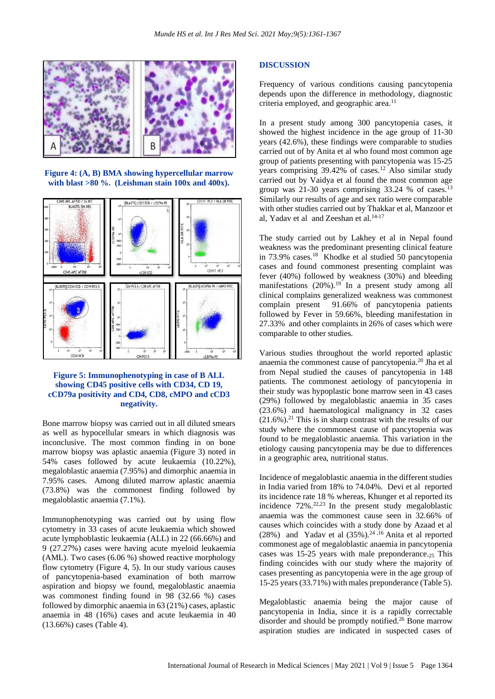

**Figure 4: (A, B) BMA showing hypercellular marrow with blast >80 %. (Leishman stain 100x and 400x).**



#### **Figure 5: Immunophenotyping in case of B ALL showing CD45 positive cells with CD34, CD 19, cCD79a positivity and CD4, CD8, cMPO and cCD3 negativity.**

Bone marrow biopsy was carried out in all diluted smears as well as hypocellular smears in which diagnosis was inconclusive. The most common finding in on bone marrow biopsy was aplastic anaemia (Figure 3) noted in 54% cases followed by acute leukaemia (10.22%), megaloblastic anaemia (7.95%) and dimorphic anaemia in 7.95% cases. Among diluted marrow aplastic anaemia (73.8%) was the commonest finding followed by megaloblastic anaemia (7.1%).

Immunophenotyping was carried out by using flow cytometry in 33 cases of acute leukaemia which showed acute lymphoblastic leukaemia (ALL) in 22 (66.66%) and 9 (27.27%) cases were having acute myeloid leukaemia (AML). Two cases (6.06 %) showed reactive morphology flow cytometry (Figure 4, 5). In our study various causes of pancytopenia-based examination of both marrow aspiration and biopsy we found, megaloblastic anaemia was commonest finding found in 98 (32.66 %) cases followed by dimorphic anaemia in 63 (21%) cases, aplastic anaemia in 48 (16%) cases and acute leukaemia in 40 (13.66%) cases (Table 4).

#### **DISCUSSION**

Frequency of various conditions causing pancytopenia depends upon the difference in methodology, diagnostic criteria employed, and geographic area.<sup>11</sup>

In a present study among 300 pancytopenia cases, it showed the highest incidence in the age group of 11-30 years (42.6%), these findings were comparable to studies carried out of by Anita et al who found most common age group of patients presenting with pancytopenia was 15-25 years comprising 39.42% of cases.<sup>12</sup> Also similar study carried out by Vaidya et al found the most common age group was 21-30 years comprising  $33.24 \%$  of cases.<sup>13</sup> Similarly our results of age and sex ratio were comparable with other studies carried out by Thakkar et al, Manzoor et al, Yadav et al and Zeeshan et al.<sup>14-17</sup>

The study carried out by Lakhey et al in Nepal found weakness was the predominant presenting clinical feature in 73.9% cases.<sup>18</sup> Khodke et al studied 50 pancytopenia cases and found commonest presenting complaint was fever (40%) followed by weakness (30%) and bleeding manifestations  $(20\%)$ .<sup>19</sup> In a present study among all clinical complains generalized weakness was commonest complain present 91.66% of pancytopenia patients followed by Fever in 59.66%, bleeding manifestation in 27.33% and other complaints in 26% of cases which were comparable to other studies.

Various studies throughout the world reported aplastic anaemia the commonest cause of pancytopenia.<sup>20</sup> Jha et al from Nepal studied the causes of pancytopenia in 148 patients. The commonest aetiology of pancytopenia in their study was hypoplastic bone marrow seen in 43 cases (29%) followed by megaloblastic anaemia in 35 cases (23.6%) and haematological malignancy in 32 cases  $(21.6\%)$ .<sup>21</sup> This is in sharp contrast with the results of our study where the commonest cause of pancytopenia was found to be megaloblastic anaemia. This variation in the etiology causing pancytopenia may be due to differences in a geographic area, nutritional status.

Incidence of megaloblastic anaemia in the different studies in India varied from 18% to 74.04%. Devi et al reported its incidence rate 18 % whereas, Khunger et al reported its incidence  $72\%$ <sup>22,23</sup> In the present study megaloblastic anaemia was the commonest cause seen in 32.66% of causes which coincides with a study done by Azaad et al (28%) and Yadav et al  $(35\%)$ .<sup>24,16</sup> Anita et al reported commonest age of megaloblastic anaemia in pancytopenia cases was 15-25 years with male preponderance.<sup>25</sup> This finding coincides with our study where the majority of cases presenting as pancytopenia were in the age group of 15-25 years (33.71%) with males preponderance (Table 5).

Megaloblastic anaemia being the major cause of pancytopenia in India, since it is a rapidly correctable disorder and should be promptly notified.<sup>26</sup> Bone marrow aspiration studies are indicated in suspected cases of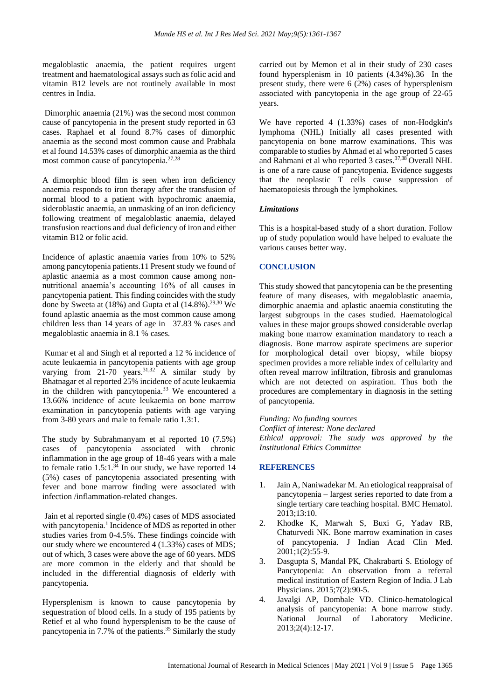megaloblastic anaemia, the patient requires urgent treatment and haematological assays such as folic acid and vitamin B12 levels are not routinely available in most centres in India.

Dimorphic anaemia (21%) was the second most common cause of pancytopenia in the present study reported in 63 cases. Raphael et al found 8.7% cases of dimorphic anaemia as the second most common cause and Prabhala et al found 14.53% cases of dimorphic anaemia as the third most common cause of pancytopenia.27,28

A dimorphic blood film is seen when iron deficiency anaemia responds to iron therapy after the transfusion of normal blood to a patient with hypochromic anaemia, sideroblastic anaemia, an unmasking of an iron deficiency following treatment of megaloblastic anaemia, delayed transfusion reactions and dual deficiency of iron and either vitamin B12 or folic acid.

Incidence of aplastic anaemia varies from 10% to 52% among pancytopenia patients.11 Present study we found of aplastic anaemia as a most common cause among nonnutritional anaemia's accounting 16% of all causes in pancytopenia patient. This finding coincides with the study done by Sweeta at (18%) and Gupta et al (14.8%).<sup>29,30</sup> We found aplastic anaemia as the most common cause among children less than 14 years of age in 37.83 % cases and megaloblastic anaemia in 8.1 % cases.

Kumar et al and Singh et al reported a 12 % incidence of acute leukaemia in pancytopenia patients with age group varying from 21-70 years.<sup>31,32</sup> A similar study by Bhatnagar et al reported 25% incidence of acute leukaemia in the children with pancytopenia.<sup>33</sup> We encountered a 13.66% incidence of acute leukaemia on bone marrow examination in pancytopenia patients with age varying from 3-80 years and male to female ratio 1.3:1.

The study by Subrahmanyam et al reported 10 (7.5%) cases of pancytopenia associated with chronic inflammation in the age group of 18-46 years with a male to female ratio  $1.5:1.^{34}$  In our study, we have reported 14 (5%) cases of pancytopenia associated presenting with fever and bone marrow finding were associated with infection /inflammation-related changes.

Jain et al reported single (0.4%) cases of MDS associated with pancytopenia.<sup>1</sup> Incidence of MDS as reported in other studies varies from 0-4.5%. These findings coincide with our study where we encountered 4 (1.33%) cases of MDS; out of which, 3 cases were above the age of 60 years. MDS are more common in the elderly and that should be included in the differential diagnosis of elderly with pancytopenia.

Hypersplenism is known to cause pancytopenia by sequestration of blood cells. In a study of 195 patients by Retief et al who found hypersplenism to be the cause of pancytopenia in 7.7% of the patients.<sup>35</sup> Similarly the study carried out by Memon et al in their study of 230 cases found hypersplenism in 10 patients (4.34%).36 In the present study, there were 6 (2%) cases of hypersplenism associated with pancytopenia in the age group of 22-65 years.

We have reported 4 (1.33%) cases of non-Hodgkin's lymphoma (NHL) Initially all cases presented with pancytopenia on bone marrow examinations. This was comparable to studies by Ahmad et al who reported 5 cases and Rahmani et al who reported 3 cases.37,38 Overall NHL is one of a rare cause of pancytopenia. Evidence suggests that the neoplastic T cells cause suppression of haematopoiesis through the lymphokines.

# *Limitations*

This is a hospital-based study of a short duration. Follow up of study population would have helped to evaluate the various causes better way.

#### **CONCLUSION**

This study showed that pancytopenia can be the presenting feature of many diseases, with megaloblastic anaemia, dimorphic anaemia and aplastic anaemia constituting the largest subgroups in the cases studied. Haematological values in these major groups showed considerable overlap making bone marrow examination mandatory to reach a diagnosis. Bone marrow aspirate specimens are superior for morphological detail over biopsy, while biopsy specimen provides a more reliable index of cellularity and often reveal marrow infiltration, fibrosis and granulomas which are not detected on aspiration. Thus both the procedures are complementary in diagnosis in the setting of pancytopenia.

*Funding: No funding sources*

*Conflict of interest: None declared Ethical approval: The study was approved by the Institutional Ethics Committee*

#### **REFERENCES**

- 1. Jain A, Naniwadekar M. An etiological reappraisal of pancytopenia – largest series reported to date from a single tertiary care teaching hospital. BMC Hematol. 2013;13:10.
- 2. Khodke K, Marwah S, Buxi G, Yadav RB, Chaturvedi NK. Bone marrow examination in cases of pancytopenia. J Indian Acad Clin Med. 2001;1(2):55-9.
- 3. Dasgupta S, Mandal PK, Chakrabarti S. Etiology of Pancytopenia: An observation from a referral medical institution of Eastern Region of India. J Lab Physicians. 2015;7(2):90-5.
- 4. Javalgi AP, Dombale VD. Clinico-hematological analysis of pancytopenia: A bone marrow study. National Journal of Laboratory Medicine. 2013;2(4):12-17.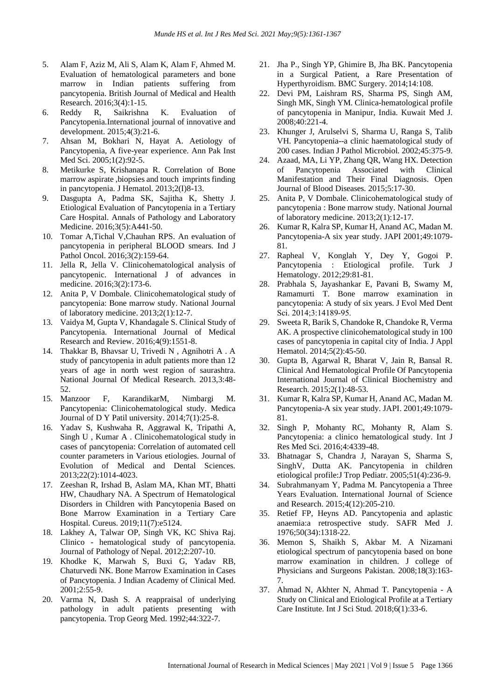- 5. Alam F, Aziz M, Ali S, Alam K, Alam F, Ahmed M. Evaluation of hematological parameters and bone marrow in Indian patients suffering from pancytopenia. British Journal of Medical and Health Research. 2016;3(4):1-15.
- 6. Reddy R, Saikrishna K. Evaluation of Pancytopenia.International journal of innovative and development. 2015;4(3):21-6.
- 7. Ahsan M, Bokhari N, Hayat A. Aetiology of Pancytopenia, A five-year experience. Ann Pak Inst Med Sci. 2005;1(2):92-5.
- 8. Metikurke S, Krishanapa R. Correlation of Bone marrow aspirate ,biopsies and touch imprints finding in pancytopenia. J Hematol. 2013;2(I)8-13.
- 9. Dasgupta A, Padma SK, Sajitha K, Shetty J. Etiological Evaluation of Pancytopenia in a Tertiary Care Hospital. Annals of Pathology and Laboratory Medicine. 2016;3(5):A441-50.
- 10. Tomar A,Tichal V,Chauhan RPS. An evaluation of pancytopenia in peripheral BLOOD smears. Ind J Pathol Oncol. 2016;3(2):159-64.
- 11. Jella R, Jella V. Clinicohematological analysis of pancytopenic. International J of advances in medicine. 2016;3(2):173-6.
- 12. Anita P, V Dombale. Clinicohematological study of pancytopenia: Bone marrow study. National Journal of laboratory medicine. 2013;2(1):12-7.
- 13. Vaidya M, Gupta V, Khandagale S. Clinical Study of Pancytopenia. International Journal of Medical Research and Review. 2016;4(9):1551-8.
- 14. Thakkar B, Bhavsar U, Trivedi N , Agnihotri A . A study of pancytopenia in adult patients more than 12 years of age in north west region of saurashtra. National Journal Of Medical Research. 2013,3:48- 52.
- 15. Manzoor F, KarandikarM, Nimbargi M. Pancytopenia: Clinicohematological study. Medica Journal of D Y Patil university. 2014;7(1):25-8.
- 16. Yadav S, Kushwaha R, Aggrawal K, Tripathi A, Singh U , Kumar A . Clinicohematological study in cases of pancytopenia: Correlation of automated cell counter parameters in Various etiologies. Journal of Evolution of Medical and Dental Sciences. 2013;22(2):1014-4023.
- 17. Zeeshan R, Irshad B, Aslam MA, Khan MT, Bhatti HW, Chaudhary NA. A Spectrum of Hematological Disorders in Children with Pancytopenia Based on Bone Marrow Examination in a Tertiary Care Hospital. Cureus. 2019;11(7):e5124.
- 18. Lakhey A, Talwar OP, Singh VK, KC Shiva Raj. Clinico - hematological study of pancytopenia. Journal of Pathology of Nepal. 2012;2:207-10.
- 19. Khodke K, Marwah S, Buxi G, Yadav RB, Chaturvedi NK. Bone Marrow Examination in Cases of Pancytopenia. J Indian Academy of Clinical Med. 2001;2:55-9.
- 20. Varma N, Dash S. A reappraisal of underlying pathology in adult patients presenting with pancytopenia. Trop Georg Med. 1992;44:322-7.
- 21. Jha P., Singh YP, Ghimire B, Jha BK. Pancytopenia in a Surgical Patient, a Rare Presentation of Hyperthyroidism. BMC Surgery. 2014;14:108.
- 22. Devi PM, Laishram RS, Sharma PS, Singh AM, Singh MK, Singh YM. Clinica-hematological profile of pancytopenia in Manipur, India. Kuwait Med J. 2008;40:221-4.
- 23. Khunger J, Arulselvi S, Sharma U, Ranga S, Talib VH. Pancytopenia--a clinic haematological study of 200 cases. Indian J Pathol Microbiol. 2002;45:375-9.
- 24. Azaad, MA, Li YP, Zhang QR, Wang HX. Detection of Pancytopenia Associated with Clinical Manifestation and Their Final Diagnosis. Open Journal of Blood Diseases. 2015;5:17-30.
- 25. Anita P, V Dombale. Clinicohematological study of pancytopenia : Bone marrow study. National Journal of laboratory medicine. 2013;2(1):12-17.
- 26. Kumar R, Kalra SP, Kumar H, Anand AC, Madan M. Pancytopenia-A six year study. JAPI 2001;49:1079- 81.
- 27. Rapheal V, Konglah Y, Dey Y, Gogoi P. Pancytopenia : Etiological profile. Turk J Hematology. 2012;29:81-81.
- 28. Prabhala S, Jayashankar E, Pavani B, Swamy M, Ramamurti T. Bone marrow examination in pancytopenia: A study of six years. J Evol Med Dent Sci. 2014;3:14189-95.
- 29. Sweeta R, Barik S, Chandoke R, Chandoke R, Verma AK. A prospective clinicohematological study in 100 cases of pancytopenia in capital city of India. J Appl Hematol. 2014;5(2):45-50.
- 30. Gupta B, Agarwal R, Bharat V, Jain R, Bansal R. Clinical And Hematological Profile Of Pancytopenia International Journal of Clinical Biochemistry and Research. 2015;2(1):48-53.
- 31. Kumar R, Kalra SP, Kumar H, Anand AC, Madan M. Pancytopenia-A six year study. JAPI. 2001;49:1079- 81.
- 32. Singh P, Mohanty RC, Mohanty R, Alam S. Pancytopenia: a clinico hematological study. Int J Res Med Sci. 2016;4:4339-48.
- 33. Bhatnagar S, Chandra J, Narayan S, Sharma S, SinghV, Dutta AK. Pancytopenia in children etiological profile:J Trop Pediatr. 2005;51(4):236-9.
- 34. Subrahmanyam Y, Padma M. Pancytopenia a Three Years Evaluation. International Journal of Science and Research. 2015;4(12):205-210.
- 35. Retief FP, Heyns AD. Pancytopenia and aplastic anaemia:a retrospective study. SAFR Med J. 1976;50(34):1318-22.
- 36. Memon S, Shaikh S, Akbar M. A Nizamani etiological spectrum of pancytopenia based on bone marrow examination in children. J college of Physicians and Surgeons Pakistan. 2008;18(3):163- 7.
- 37. Ahmad N, Akhter N, Ahmad T. Pancytopenia A Study on Clinical and Etiological Profile at a Tertiary Care Institute. Int J Sci Stud. 2018;6(1):33-6.